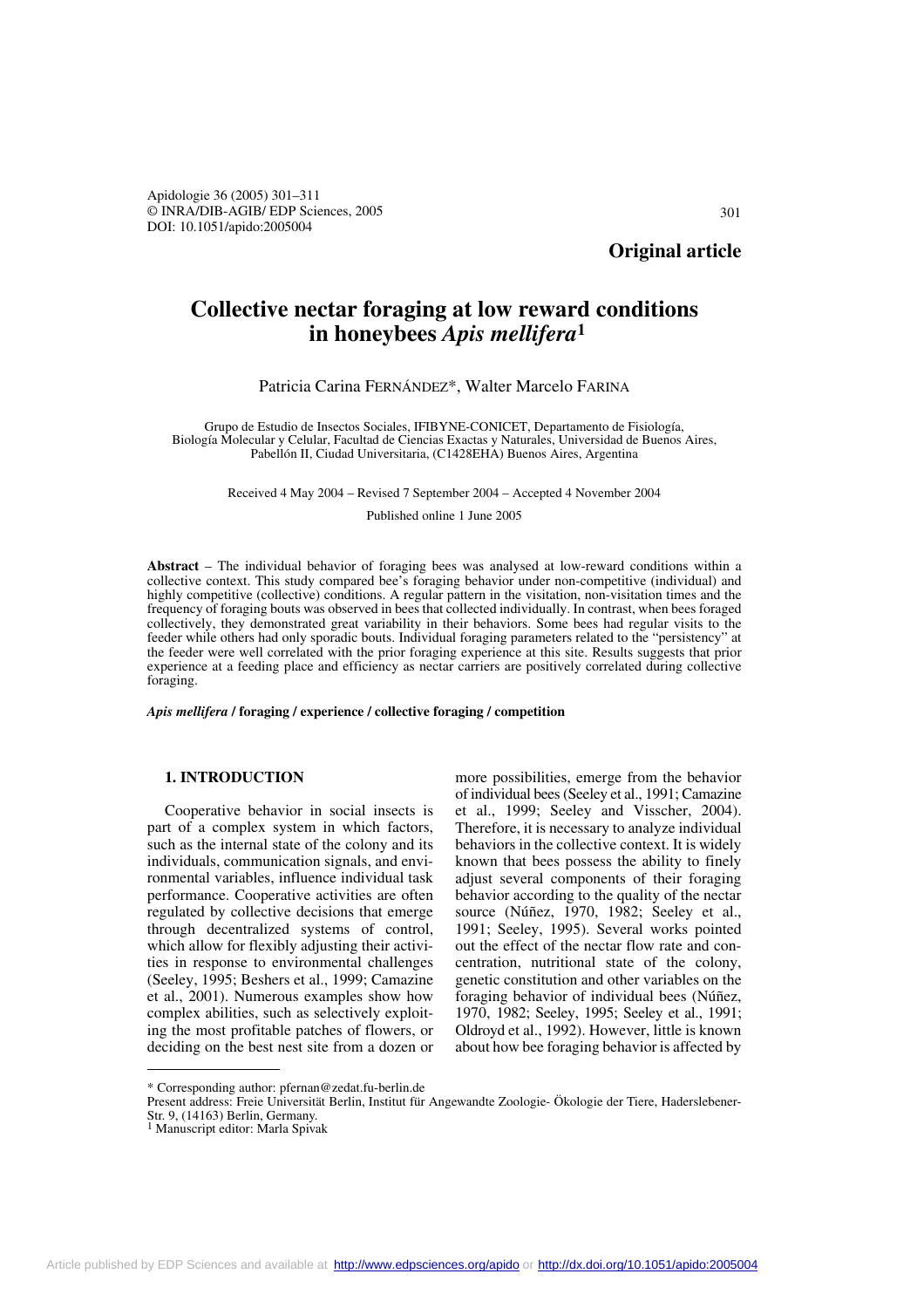Apidologie 36 (2005) 301–311 © INRA/DIB-AGIB/ EDP Sciences, 2005 DOI: 10.1051/apido:2005004

**Original article**

# **Collective nectar foraging at low reward conditions in honeybees** *Apis mellifera***<sup>1</sup>**

## Patricia Carina FERNÁNDEZ\*, Walter Marcelo FARINA

Grupo de Estudio de Insectos Sociales, IFIBYNE-CONICET, Departamento de Fisiología, Biología Molecular y Celular, Facultad de Ciencias Exactas y Naturales, Universidad de Buenos Aires, Pabellón II, Ciudad Universitaria, (C1428EHA) Buenos Aires, Argentina

Received 4 May 2004 – Revised 7 September 2004 – Accepted 4 November 2004

Published online 1 June 2005

**Abstract** – The individual behavior of foraging bees was analysed at low-reward conditions within a collective context. This study compared bee's foraging behavior under non-competitive (individual) and highly competitive (collective) conditions. A regular pattern in the visitation, non-visitation times and the frequency of foraging bouts was observed in bees that collected individually. In contrast, when bees foraged collectively, they demonstrated great variability in their behaviors. Some bees had regular visits to the feeder while others had only sporadic bouts. Individual foraging parameters related to the "persistency" at the feeder were well correlated with the prior foraging experience at this site. Results suggests that prior experience at a feeding place and efficiency as nectar carriers are positively correlated during collective foraging.

*Apis mellifera* **/ foraging / experience / collective foraging / competition**

# **1. INTRODUCTION**

Cooperative behavior in social insects is part of a complex system in which factors, such as the internal state of the colony and its individuals, communication signals, and environmental variables, influence individual task performance. Cooperative activities are often regulated by collective decisions that emerge through decentralized systems of control, which allow for flexibly adjusting their activities in response to environmental challenges (Seeley, 1995; Beshers et al., 1999; Camazine et al., 2001). Numerous examples show how complex abilities, such as selectively exploiting the most profitable patches of flowers, or deciding on the best nest site from a dozen or

more possibilities, emerge from the behavior of individual bees (Seeley et al., 1991; Camazine et al., 1999; Seeley and Visscher, 2004). Therefore, it is necessary to analyze individual behaviors in the collective context. It is widely known that bees possess the ability to finely adjust several components of their foraging behavior according to the quality of the nectar source (Núñez, 1970, 1982; Seeley et al., 1991; Seeley, 1995). Several works pointed out the effect of the nectar flow rate and concentration, nutritional state of the colony, genetic constitution and other variables on the foraging behavior of individual bees (Núñez, 1970, 1982; Seeley, 1995; Seeley et al., 1991; Oldroyd et al., 1992). However, little is known about how bee foraging behavior is affected by

<sup>\*</sup> Corresponding author: pfernan@zedat.fu-berlin.de

Present address: Freie Universität Berlin, Institut für Angewandte Zoologie- Ökologie der Tiere, Haderslebener-Str. 9, (14163) Berlin, Germany.

<sup>&</sup>lt;sup>1</sup> Manuscript editor: Marla Spivak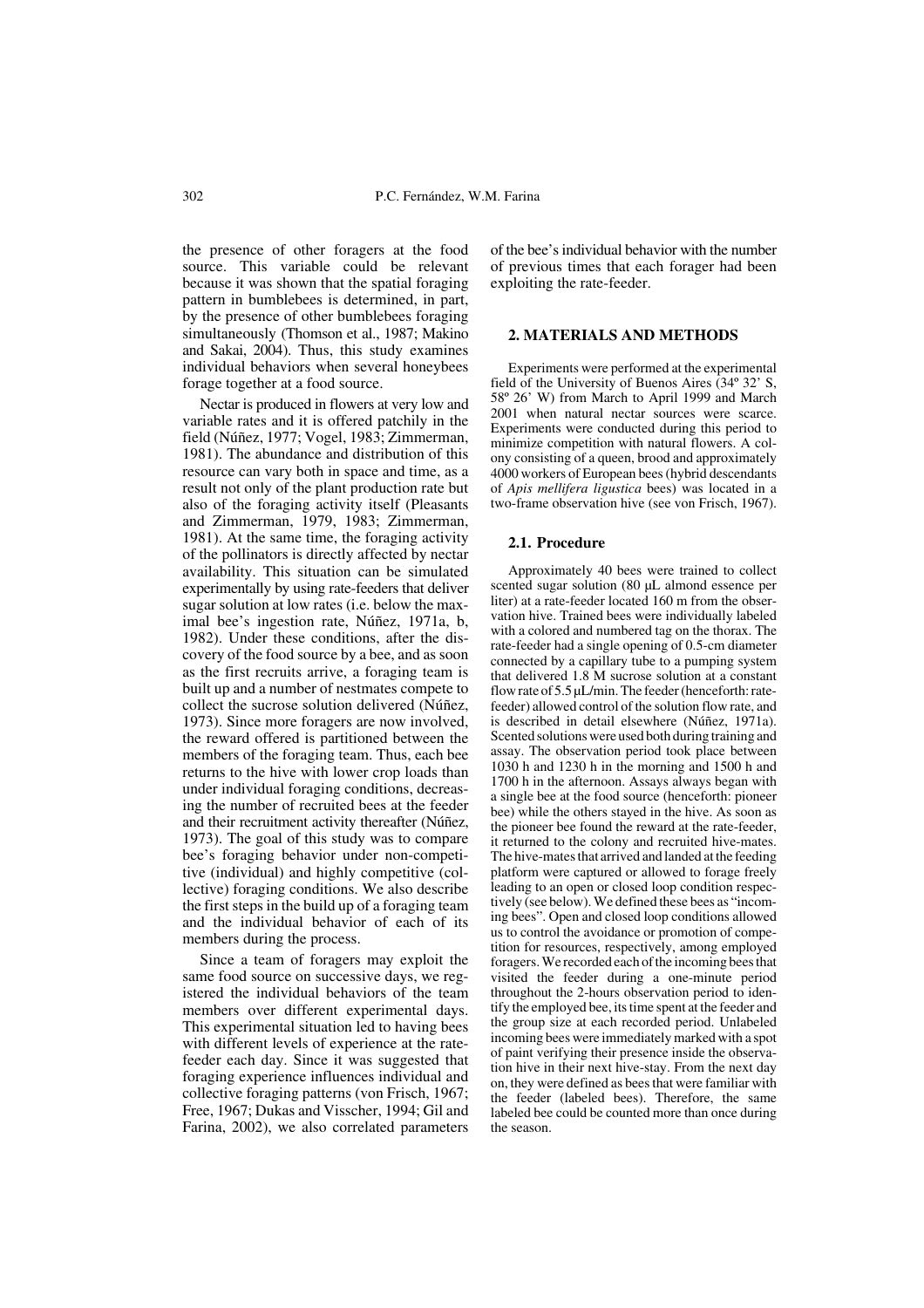the presence of other foragers at the food source. This variable could be relevant because it was shown that the spatial foraging pattern in bumblebees is determined, in part, by the presence of other bumblebees foraging simultaneously (Thomson et al., 1987; Makino and Sakai, 2004). Thus, this study examines individual behaviors when several honeybees forage together at a food source.

Nectar is produced in flowers at very low and variable rates and it is offered patchily in the field (Núñez, 1977; Vogel, 1983; Zimmerman, 1981). The abundance and distribution of this resource can vary both in space and time, as a result not only of the plant production rate but also of the foraging activity itself (Pleasants and Zimmerman, 1979, 1983; Zimmerman, 1981). At the same time, the foraging activity of the pollinators is directly affected by nectar availability. This situation can be simulated experimentally by using rate-feeders that deliver sugar solution at low rates (i.e. below the maximal bee's ingestion rate, Núñez, 1971a, b, 1982). Under these conditions, after the discovery of the food source by a bee, and as soon as the first recruits arrive, a foraging team is built up and a number of nestmates compete to collect the sucrose solution delivered (Núñez, 1973). Since more foragers are now involved, the reward offered is partitioned between the members of the foraging team. Thus, each bee returns to the hive with lower crop loads than under individual foraging conditions, decreasing the number of recruited bees at the feeder and their recruitment activity thereafter (Núñez, 1973). The goal of this study was to compare bee's foraging behavior under non-competitive (individual) and highly competitive (collective) foraging conditions. We also describe the first steps in the build up of a foraging team and the individual behavior of each of its members during the process.

Since a team of foragers may exploit the same food source on successive days, we registered the individual behaviors of the team members over different experimental days. This experimental situation led to having bees with different levels of experience at the ratefeeder each day. Since it was suggested that foraging experience influences individual and collective foraging patterns (von Frisch, 1967; Free, 1967; Dukas and Visscher, 1994; Gil and Farina, 2002), we also correlated parameters of the bee's individual behavior with the number of previous times that each forager had been exploiting the rate-feeder.

## **2. MATERIALS AND METHODS**

Experiments were performed at the experimental field of the University of Buenos Aires (34º 32' S, 58º 26' W) from March to April 1999 and March 2001 when natural nectar sources were scarce. Experiments were conducted during this period to minimize competition with natural flowers. A colony consisting of a queen, brood and approximately 4000 workers of European bees (hybrid descendants of *Apis mellifera ligustica* bees) was located in a two-frame observation hive (see von Frisch, 1967).

## **2.1. Procedure**

Approximately 40 bees were trained to collect scented sugar solution (80 µL almond essence per liter) at a rate-feeder located 160 m from the observation hive. Trained bees were individually labeled with a colored and numbered tag on the thorax. The rate-feeder had a single opening of 0.5-cm diameter connected by a capillary tube to a pumping system that delivered 1.8 M sucrose solution at a constant flow rate of 5.5 uL/min. The feeder (henceforth: ratefeeder) allowed control of the solution flow rate, and is described in detail elsewhere (Núñez, 1971a). Scented solutions were used both during training and assay. The observation period took place between 1030 h and 1230 h in the morning and 1500 h and 1700 h in the afternoon. Assays always began with a single bee at the food source (henceforth: pioneer bee) while the others stayed in the hive. As soon as the pioneer bee found the reward at the rate-feeder, it returned to the colony and recruited hive-mates. The hive-mates that arrived and landed at the feeding platform were captured or allowed to forage freely leading to an open or closed loop condition respectively (see below). We defined these bees as "incoming bees". Open and closed loop conditions allowed us to control the avoidance or promotion of competition for resources, respectively, among employed foragers. We recorded each of the incoming bees that visited the feeder during a one-minute period throughout the 2-hours observation period to identify the employed bee, its time spent at the feeder and the group size at each recorded period. Unlabeled incoming bees were immediately marked with a spot of paint verifying their presence inside the observation hive in their next hive-stay. From the next day on, they were defined as bees that were familiar with the feeder (labeled bees). Therefore, the same labeled bee could be counted more than once during the season.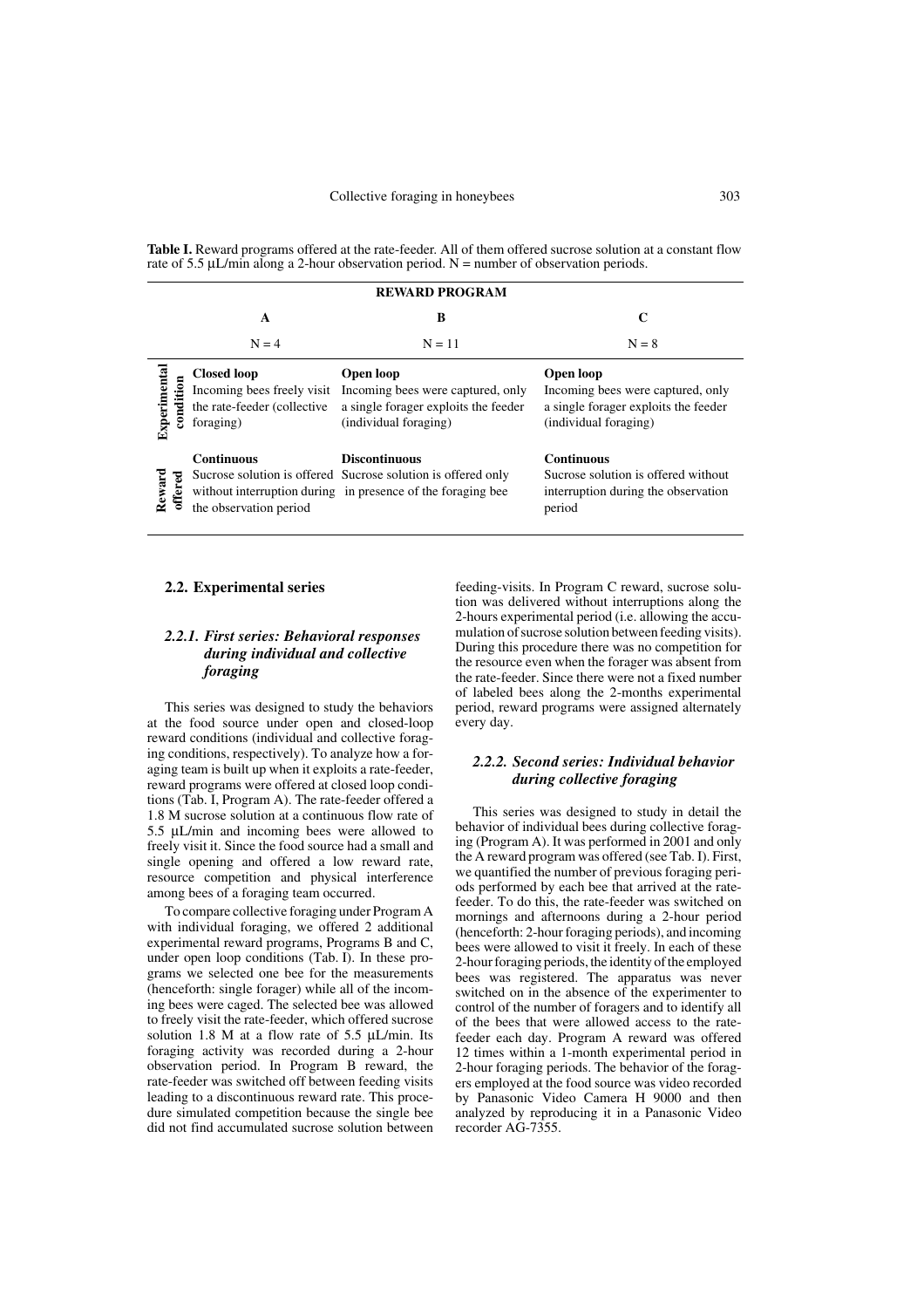**Table I.** Reward programs offered at the rate-feeder. All of them offered sucrose solution at a constant flow rate of  $5.5 \mu L/min$  along a 2-hour observation period. N = number of observation periods.

| <b>REWARD PROGRAM</b>     |                                                                                              |                                                                                                                                                     |                                                                                                                 |  |  |  |  |  |
|---------------------------|----------------------------------------------------------------------------------------------|-----------------------------------------------------------------------------------------------------------------------------------------------------|-----------------------------------------------------------------------------------------------------------------|--|--|--|--|--|
|                           | A                                                                                            | B                                                                                                                                                   | $\mathbf C$                                                                                                     |  |  |  |  |  |
|                           | $N = 4$                                                                                      | $N = 11$                                                                                                                                            | $N = 8$                                                                                                         |  |  |  |  |  |
| Experimental<br>condition | <b>Closed loop</b><br>Incoming bees freely visit<br>the rate-feeder (collective<br>foraging) | Open loop<br>Incoming bees were captured, only<br>a single forager exploits the feeder<br>(individual foraging)                                     | Open loop<br>Incoming bees were captured, only<br>a single forager exploits the feeder<br>(individual foraging) |  |  |  |  |  |
| Reward<br>offered         | <b>Continuous</b><br>the observation period                                                  | <b>Discontinuous</b><br>Sucrose solution is offered Sucrose solution is offered only<br>without interruption during in presence of the foraging bee | <b>Continuous</b><br>Sucrose solution is offered without<br>interruption during the observation<br>period       |  |  |  |  |  |

## **2.2. Experimental series**

# *2.2.1. First series: Behavioral responses during individual and collective foraging*

This series was designed to study the behaviors at the food source under open and closed-loop reward conditions (individual and collective foraging conditions, respectively). To analyze how a foraging team is built up when it exploits a rate-feeder, reward programs were offered at closed loop conditions (Tab. I, Program A). The rate-feeder offered a 1.8 M sucrose solution at a continuous flow rate of 5.5 µL/min and incoming bees were allowed to freely visit it. Since the food source had a small and single opening and offered a low reward rate, resource competition and physical interference among bees of a foraging team occurred.

To compare collective foraging under Program A with individual foraging, we offered 2 additional experimental reward programs, Programs B and C, under open loop conditions (Tab. I). In these programs we selected one bee for the measurements (henceforth: single forager) while all of the incoming bees were caged. The selected bee was allowed to freely visit the rate-feeder, which offered sucrose solution 1.8 M at a flow rate of 5.5 µL/min. Its foraging activity was recorded during a 2-hour observation period. In Program B reward, the rate-feeder was switched off between feeding visits leading to a discontinuous reward rate. This procedure simulated competition because the single bee did not find accumulated sucrose solution between

feeding-visits. In Program C reward, sucrose solution was delivered without interruptions along the 2-hours experimental period (i.e. allowing the accumulation of sucrose solution between feeding visits). During this procedure there was no competition for the resource even when the forager was absent from the rate-feeder. Since there were not a fixed number of labeled bees along the 2-months experimental period, reward programs were assigned alternately every day.

## *2.2.2. Second series: Individual behavior during collective foraging*

This series was designed to study in detail the behavior of individual bees during collective foraging (Program A). It was performed in 2001 and only the A reward program was offered (see Tab. I). First, we quantified the number of previous foraging periods performed by each bee that arrived at the ratefeeder. To do this, the rate-feeder was switched on mornings and afternoons during a 2-hour period (henceforth: 2-hour foraging periods), and incoming bees were allowed to visit it freely. In each of these 2-hour foraging periods, the identity of the employed bees was registered. The apparatus was never switched on in the absence of the experimenter to control of the number of foragers and to identify all of the bees that were allowed access to the ratefeeder each day. Program A reward was offered 12 times within a 1-month experimental period in 2-hour foraging periods. The behavior of the foragers employed at the food source was video recorded by Panasonic Video Camera H 9000 and then analyzed by reproducing it in a Panasonic Video recorder AG-7355.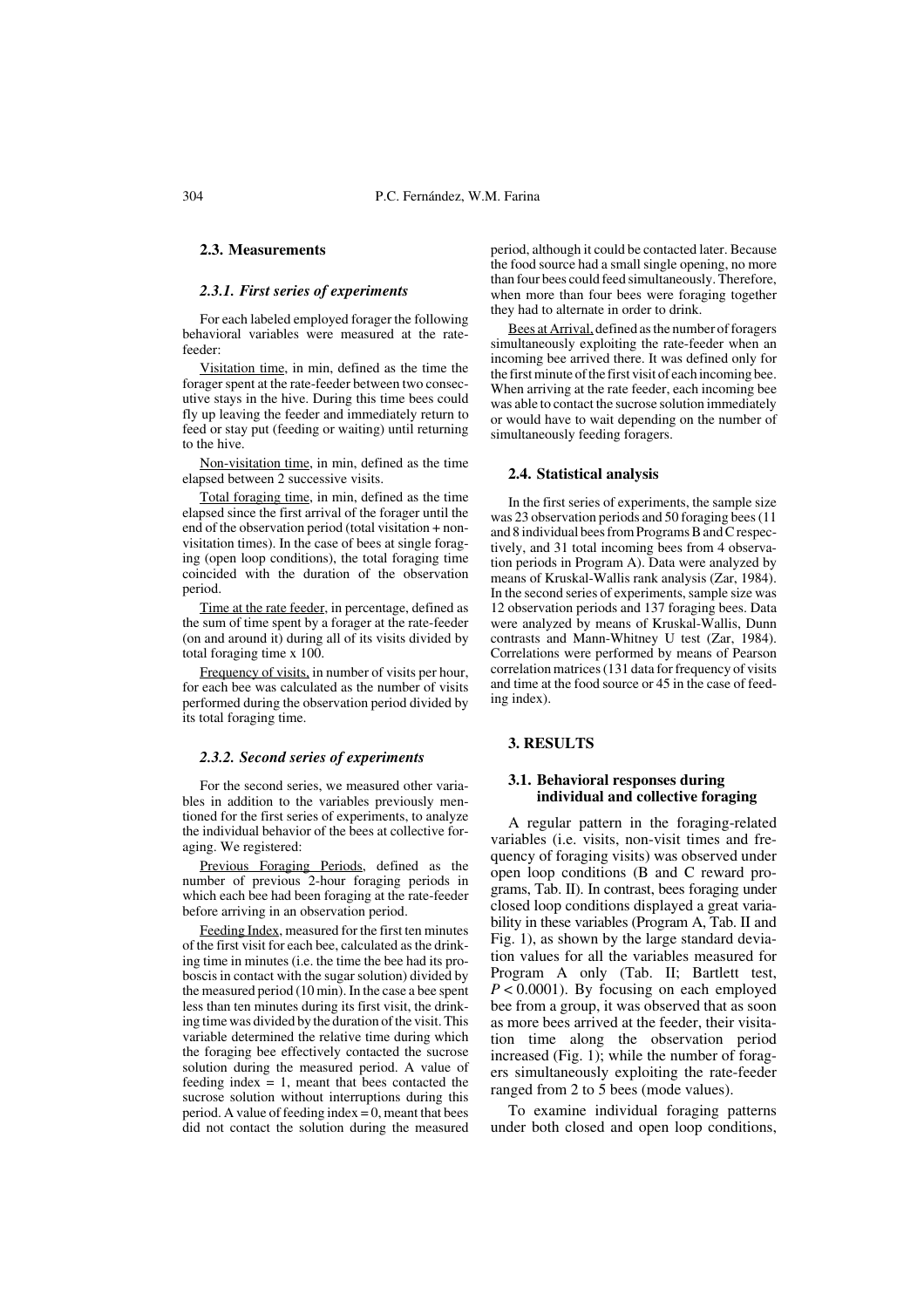## **2.3. Measurements**

#### *2.3.1. First series of experiments*

For each labeled employed forager the following behavioral variables were measured at the ratefeeder:

Visitation time, in min, defined as the time the forager spent at the rate-feeder between two consecutive stays in the hive. During this time bees could fly up leaving the feeder and immediately return to feed or stay put (feeding or waiting) until returning to the hive.

Non-visitation time, in min, defined as the time elapsed between 2 successive visits.

Total foraging time, in min, defined as the time elapsed since the first arrival of the forager until the end of the observation period (total visitation + nonvisitation times). In the case of bees at single foraging (open loop conditions), the total foraging time coincided with the duration of the observation period.

Time at the rate feeder, in percentage, defined as the sum of time spent by a forager at the rate-feeder (on and around it) during all of its visits divided by total foraging time x 100.

Frequency of visits, in number of visits per hour, for each bee was calculated as the number of visits performed during the observation period divided by its total foraging time.

#### *2.3.2. Second series of experiments*

For the second series, we measured other variables in addition to the variables previously mentioned for the first series of experiments, to analyze the individual behavior of the bees at collective foraging. We registered:

Previous Foraging Periods, defined as the number of previous 2-hour foraging periods in which each bee had been foraging at the rate-feeder before arriving in an observation period.

Feeding Index, measured for the first ten minutes of the first visit for each bee, calculated as the drinking time in minutes (i.e. the time the bee had its proboscis in contact with the sugar solution) divided by the measured period (10 min). In the case a bee spent less than ten minutes during its first visit, the drinking time was divided by the duration of the visit. This variable determined the relative time during which the foraging bee effectively contacted the sucrose solution during the measured period. A value of feeding index  $= 1$ , meant that bees contacted the sucrose solution without interruptions during this period. A value of feeding index  $= 0$ , meant that bees did not contact the solution during the measured period, although it could be contacted later. Because the food source had a small single opening, no more than four bees could feed simultaneously. Therefore, when more than four bees were foraging together they had to alternate in order to drink.

Bees at Arrival, defined as the number of foragers simultaneously exploiting the rate-feeder when an incoming bee arrived there. It was defined only for the first minute of the first visit of each incoming bee. When arriving at the rate feeder, each incoming bee was able to contact the sucrose solution immediately or would have to wait depending on the number of simultaneously feeding foragers.

#### **2.4. Statistical analysis**

In the first series of experiments, the sample size was 23 observation periods and 50 foraging bees (11 and 8 individual bees from Programs B and C respectively, and 31 total incoming bees from 4 observation periods in Program A). Data were analyzed by means of Kruskal-Wallis rank analysis (Zar, 1984). In the second series of experiments, sample size was 12 observation periods and 137 foraging bees. Data were analyzed by means of Kruskal-Wallis, Dunn contrasts and Mann-Whitney U test (Zar, 1984). Correlations were performed by means of Pearson correlation matrices (131 data for frequency of visits and time at the food source or 45 in the case of feeding index).

#### **3. RESULTS**

### **3.1. Behavioral responses during individual and collective foraging**

A regular pattern in the foraging-related variables (i.e. visits, non-visit times and frequency of foraging visits) was observed under open loop conditions (B and C reward programs, Tab. II). In contrast, bees foraging under closed loop conditions displayed a great variability in these variables (Program A, Tab. II and Fig. 1), as shown by the large standard deviation values for all the variables measured for Program A only (Tab. II; Bartlett test, *P* < 0.0001). By focusing on each employed bee from a group, it was observed that as soon as more bees arrived at the feeder, their visitation time along the observation period increased (Fig. 1); while the number of foragers simultaneously exploiting the rate-feeder ranged from 2 to 5 bees (mode values).

To examine individual foraging patterns under both closed and open loop conditions,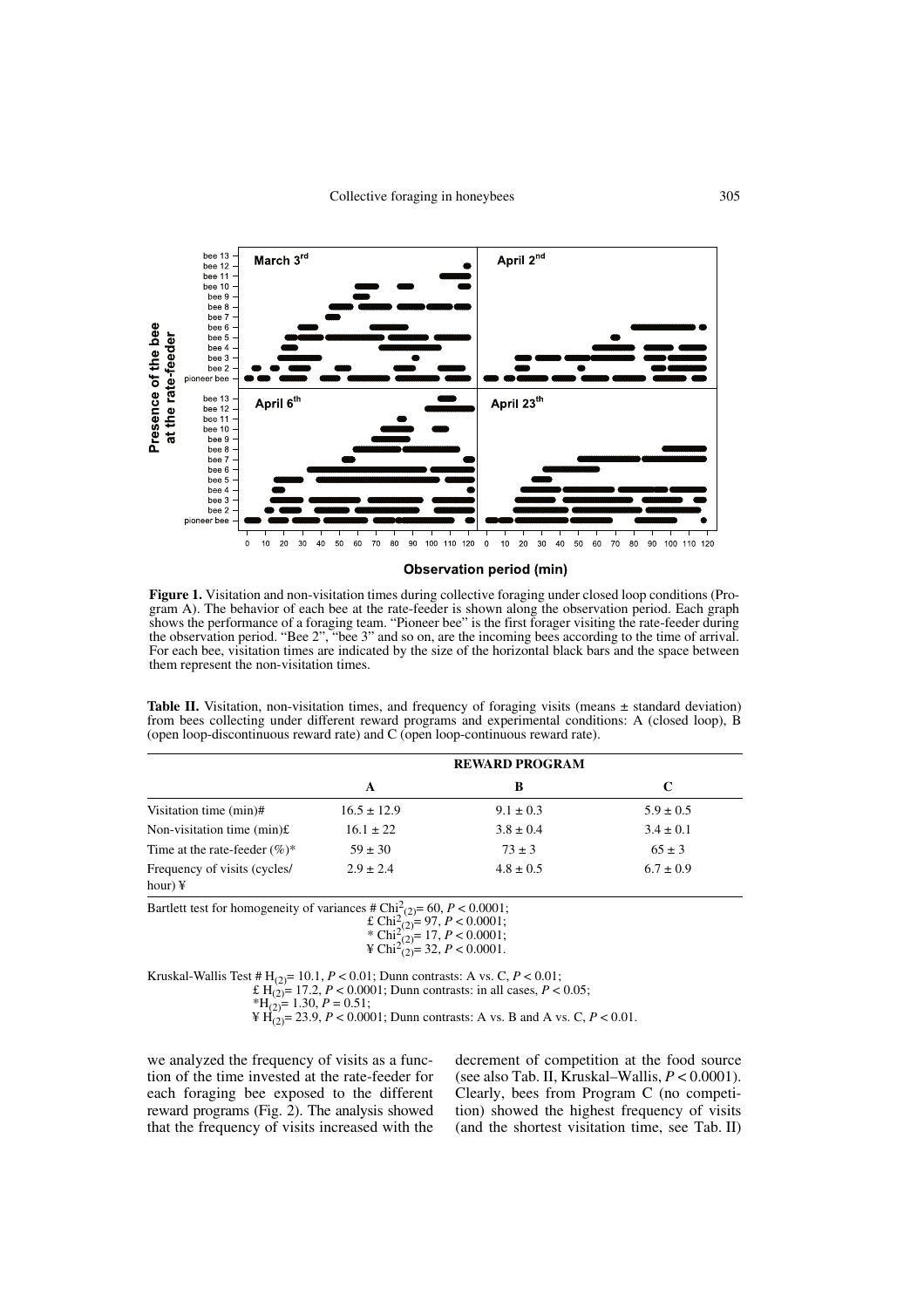

**Observation period (min)** 

**Figure 1.** Visitation and non-visitation times during collective foraging under closed loop conditions (Program A). The behavior of each bee at the rate-feeder is shown along the observation period. Each graph shows the performance of a foraging team. "Pioneer bee" is the first forager visiting the rate-feeder during the observation period. "Bee 2", "bee 3" and so on, are the incoming bees according to the time of arrival. For each bee, visitation times are indicated by the size of the horizontal black bars and the space between them represent the non-visitation times.

**Table II.** Visitation, non-visitation times, and frequency of foraging visits (means  $\pm$  standard deviation) from bees collecting under different reward programs and experimental conditions: A (closed loop), B (open loop-discontinuous reward rate) and C (open loop-continuous reward rate).

|                                                |                 | <b>REWARD PROGRAM</b> |               |
|------------------------------------------------|-----------------|-----------------------|---------------|
|                                                | A               | В                     | C             |
| Visitation time (min)#                         | $16.5 \pm 12.9$ | $9.1 \pm 0.3$         | $5.9 \pm 0.5$ |
| Non-visitation time $(min)$ £                  | $16.1 \pm 22$   | $3.8 \pm 0.4$         | $3.4 \pm 0.1$ |
| Time at the rate-feeder $(\%)^*$               | $59 \pm 30$     | $73 \pm 3$            | $65 \pm 3$    |
| Frequency of visits (cycles/<br>hour) $\angle$ | $2.9 \pm 2.4$   | $4.8 \pm 0.5$         | $6.7 \pm 0.9$ |

Bartlett test for homogeneity of variances  $\# \text{Chi}_{(2)}^2 = 60, P < 0.0001;$ 

£ Chi<sup>2</sup> (2)= 97, *P* < 0.0001; \* Chi<sup>2</sup> (2)= 17, *P* < 0.0001;

$$
\text{F Chi}_{(2)}^{(2)-17,1} < 0.0001, \\ \text{F Chi}_{(2)}^{2=32, P} < 0.0001.
$$

Kruskal-Wallis Test #  $H_{(2)} = 10.1$ ,  $P < 0.01$ ; Dunn contrasts: A vs. C,  $P < 0.01$ ;

£  $H_{(2)} = 17.2$ ,  $P < 0.0001$ ; Dunn contrasts: in all cases,  $P < 0.05$ ;

\*
$$
H_{(2)} = 1.30, P = 0.51;
$$

 $\mathbb{H}_{(2)} = 23.9, P < 0.0001$ ; Dunn contrasts: A vs. B and A vs. C,  $P < 0.01$ .

we analyzed the frequency of visits as a function of the time invested at the rate-feeder for each foraging bee exposed to the different reward programs (Fig. 2). The analysis showed that the frequency of visits increased with the decrement of competition at the food source (see also Tab. II, Kruskal–Wallis, *P* < 0.0001). Clearly, bees from Program C (no competition) showed the highest frequency of visits (and the shortest visitation time, see Tab. II)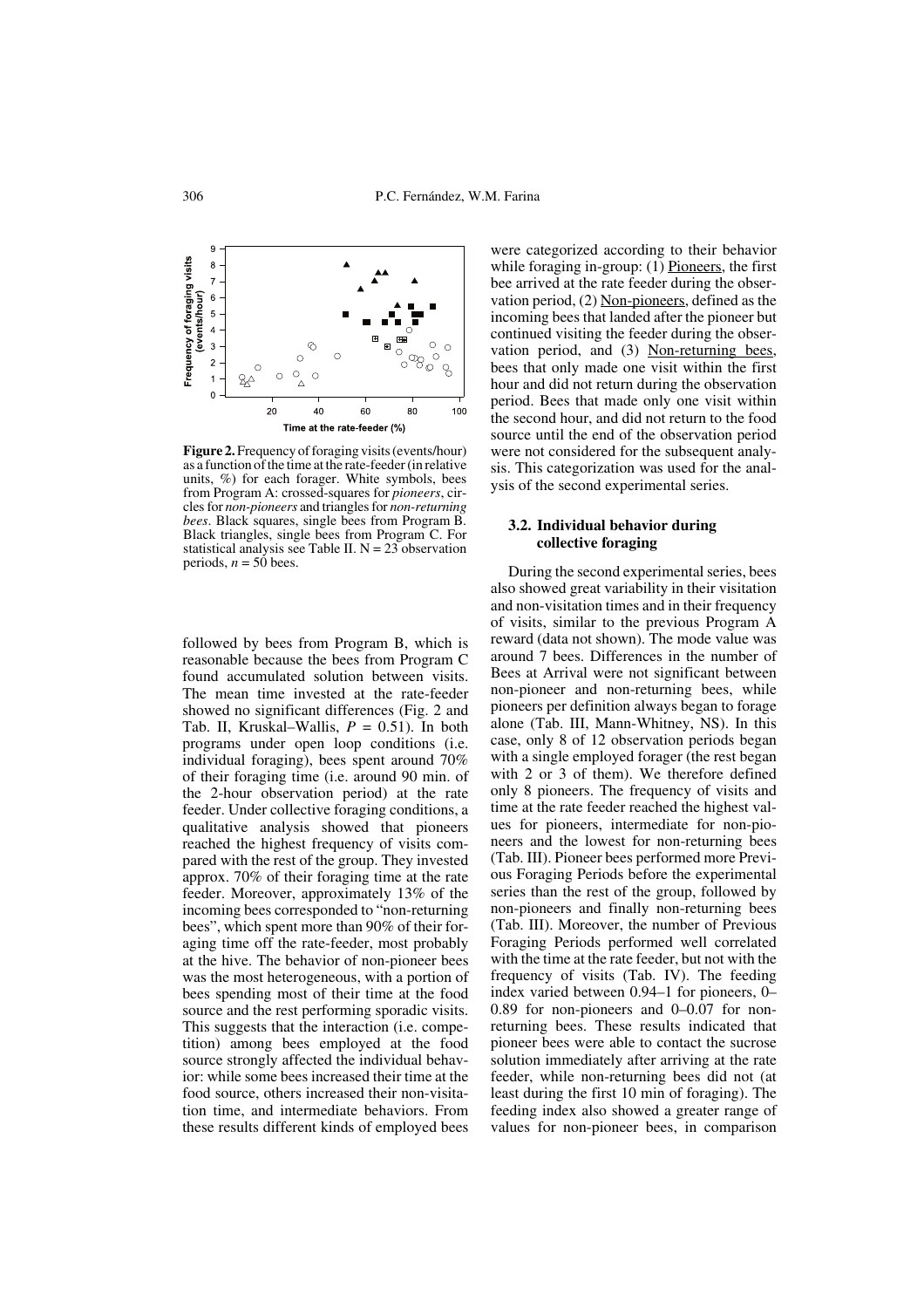

**Figure 2.** Frequency of foraging visits (events/hour) as a function of the time at the rate-feeder (in relative units, %) for each forager. White symbols, bees from Program A: crossed-squares for *pioneers*, circles for *non-pioneers* and triangles for *non-returning bees*. Black squares, single bees from Program B. Black triangles, single bees from Program C. For statistical analysis see Table II.  $N = 23$  observation periods,  $n = 50$  bees.

followed by bees from Program B, which is reasonable because the bees from Program C found accumulated solution between visits. The mean time invested at the rate-feeder showed no significant differences (Fig. 2 and Tab. II, Kruskal–Wallis, *P* = 0.51). In both programs under open loop conditions (i.e. individual foraging), bees spent around 70% of their foraging time (i.e. around 90 min. of the 2-hour observation period) at the rate feeder. Under collective foraging conditions, a qualitative analysis showed that pioneers reached the highest frequency of visits compared with the rest of the group. They invested approx. 70% of their foraging time at the rate feeder. Moreover, approximately 13% of the incoming bees corresponded to "non-returning bees", which spent more than 90% of their foraging time off the rate-feeder, most probably at the hive. The behavior of non-pioneer bees was the most heterogeneous, with a portion of bees spending most of their time at the food source and the rest performing sporadic visits. This suggests that the interaction (i.e. competition) among bees employed at the food source strongly affected the individual behavior: while some bees increased their time at the food source, others increased their non-visitation time, and intermediate behaviors. From these results different kinds of employed bees were categorized according to their behavior while foraging in-group: (1) Pioneers, the first bee arrived at the rate feeder during the observation period, (2) Non-pioneers, defined as the incoming bees that landed after the pioneer but continued visiting the feeder during the observation period, and (3) Non-returning bees, bees that only made one visit within the first hour and did not return during the observation period. Bees that made only one visit within the second hour, and did not return to the food source until the end of the observation period were not considered for the subsequent analysis. This categorization was used for the analysis of the second experimental series.

#### **3.2. Individual behavior during collective foraging**

During the second experimental series, bees also showed great variability in their visitation and non-visitation times and in their frequency of visits, similar to the previous Program A reward (data not shown). The mode value was around 7 bees. Differences in the number of Bees at Arrival were not significant between non-pioneer and non-returning bees, while pioneers per definition always began to forage alone (Tab. III, Mann-Whitney, NS). In this case, only 8 of 12 observation periods began with a single employed forager (the rest began with 2 or 3 of them). We therefore defined only 8 pioneers. The frequency of visits and time at the rate feeder reached the highest values for pioneers, intermediate for non-pioneers and the lowest for non-returning bees (Tab. III). Pioneer bees performed more Previous Foraging Periods before the experimental series than the rest of the group, followed by non-pioneers and finally non-returning bees (Tab. III). Moreover, the number of Previous Foraging Periods performed well correlated with the time at the rate feeder, but not with the frequency of visits (Tab. IV). The feeding index varied between 0.94–1 for pioneers, 0– 0.89 for non-pioneers and 0–0.07 for nonreturning bees. These results indicated that pioneer bees were able to contact the sucrose solution immediately after arriving at the rate feeder, while non-returning bees did not (at least during the first 10 min of foraging). The feeding index also showed a greater range of values for non-pioneer bees, in comparison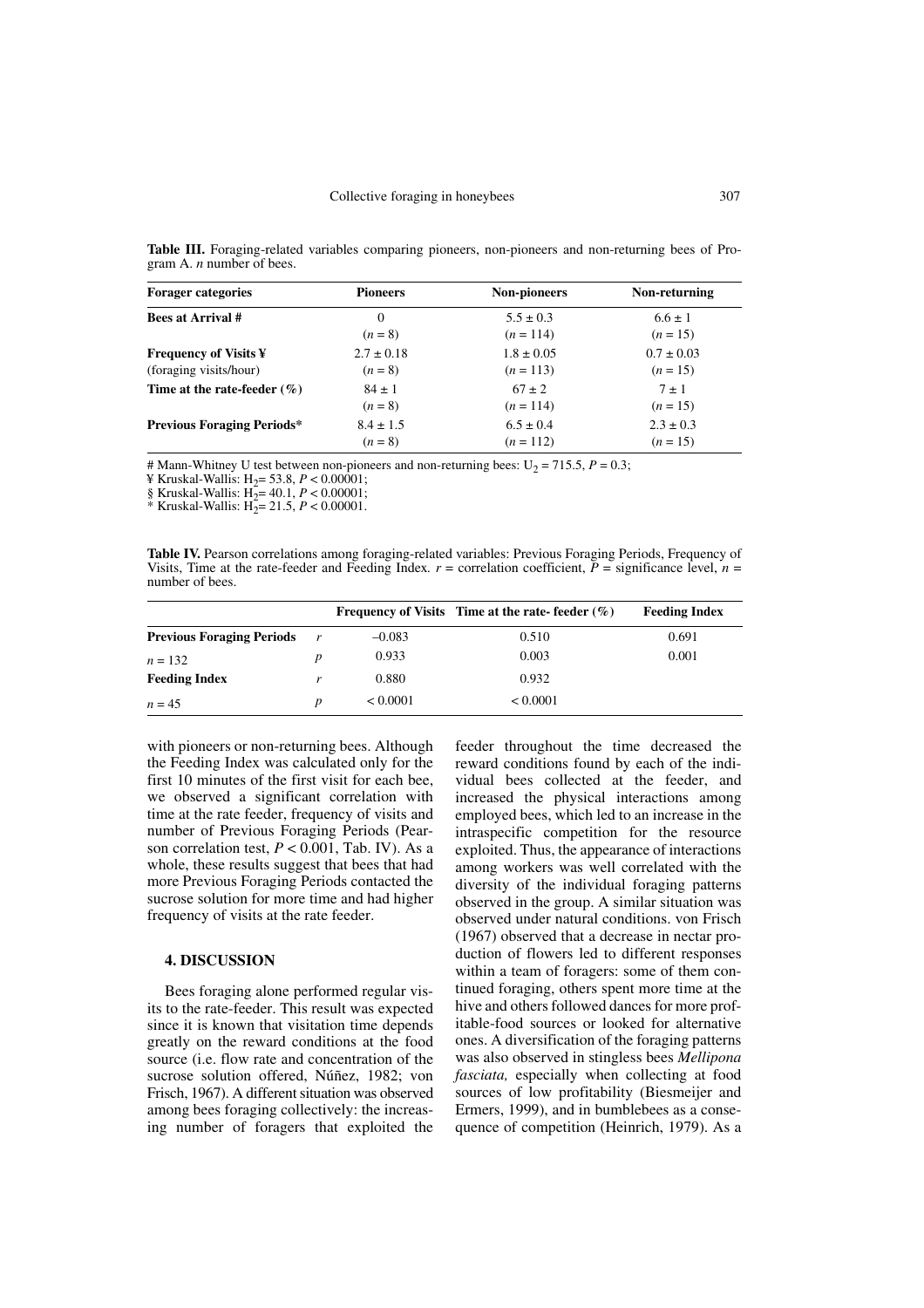**Table III.** Foraging-related variables comparing pioneers, non-pioneers and non-returning bees of Program A. *n* number of bees.

| <b>Forager categories</b>         | <b>Pioneers</b> | <b>Non-pioneers</b> | Non-returning  |
|-----------------------------------|-----------------|---------------------|----------------|
| <b>Bees at Arrival #</b>          | $\Omega$        | $5.5 \pm 0.3$       | $6.6 \pm 1$    |
|                                   | $(n = 8)$       | $(n = 114)$         | $(n = 15)$     |
| <b>Frequency of Visits ¥</b>      | $2.7 \pm 0.18$  | $1.8 \pm 0.05$      | $0.7 \pm 0.03$ |
| (foraging visits/hour)            | $(n = 8)$       | $(n = 113)$         | $(n = 15)$     |
| Time at the rate-feeder $(\% )$   | $84 \pm 1$      | $67 \pm 2$          | $7 \pm 1$      |
|                                   | $(n = 8)$       | $(n = 114)$         | $(n = 15)$     |
| <b>Previous Foraging Periods*</b> | $8.4 \pm 1.5$   | $6.5 \pm 0.4$       | $2.3 \pm 0.3$  |
|                                   | $(n = 8)$       | $(n = 112)$         | $(n = 15)$     |

# Mann-Whitney U test between non-pioneers and non-returning bees:  $U_2 = 715.5$ ,  $P = 0.3$ ;

¥ Kruskal-Wallis: H2= 53.8, *P* < 0.00001;

§ Kruskal-Wallis: H2= 40.1, *P* < 0.00001;

\* Kruskal-Wallis:  $H_2 = 21.5$ ,  $P < 0.00001$ .

**Table IV.** Pearson correlations among foraging-related variables: Previous Foraging Periods, Frequency of Visits, Time at the rate-feeder and Feeding Index.  $r =$  correlation coefficient,  $P =$  significance level,  $n =$ number of bees.

|                                  |   |          | Frequency of Visits Time at the rate-feeder $(\%)$ | <b>Feeding Index</b> |
|----------------------------------|---|----------|----------------------------------------------------|----------------------|
| <b>Previous Foraging Periods</b> | r | $-0.083$ | 0.510                                              | 0.691                |
| $n = 132$                        |   | 0.933    | 0.003                                              | 0.001                |
| <b>Feeding Index</b>             |   | 0.880    | 0.932                                              |                      |
| $n = 4.5$                        |   | < 0.0001 | < 0.0001                                           |                      |

with pioneers or non-returning bees. Although the Feeding Index was calculated only for the first 10 minutes of the first visit for each bee, we observed a significant correlation with time at the rate feeder, frequency of visits and number of Previous Foraging Periods (Pearson correlation test, *P* < 0.001, Tab. IV). As a whole, these results suggest that bees that had more Previous Foraging Periods contacted the sucrose solution for more time and had higher frequency of visits at the rate feeder.

## **4. DISCUSSION**

Bees foraging alone performed regular visits to the rate-feeder. This result was expected since it is known that visitation time depends greatly on the reward conditions at the food source (i.e. flow rate and concentration of the sucrose solution offered, Núñez, 1982; von Frisch, 1967). A different situation was observed among bees foraging collectively: the increasing number of foragers that exploited the

feeder throughout the time decreased the reward conditions found by each of the individual bees collected at the feeder, and increased the physical interactions among employed bees, which led to an increase in the intraspecific competition for the resource exploited. Thus, the appearance of interactions among workers was well correlated with the diversity of the individual foraging patterns observed in the group. A similar situation was observed under natural conditions. von Frisch (1967) observed that a decrease in nectar production of flowers led to different responses within a team of foragers: some of them continued foraging, others spent more time at the hive and others followed dances for more profitable-food sources or looked for alternative ones. A diversification of the foraging patterns was also observed in stingless bees *Mellipona fasciata,* especially when collecting at food sources of low profitability (Biesmeijer and Ermers, 1999), and in bumblebees as a consequence of competition (Heinrich, 1979). As a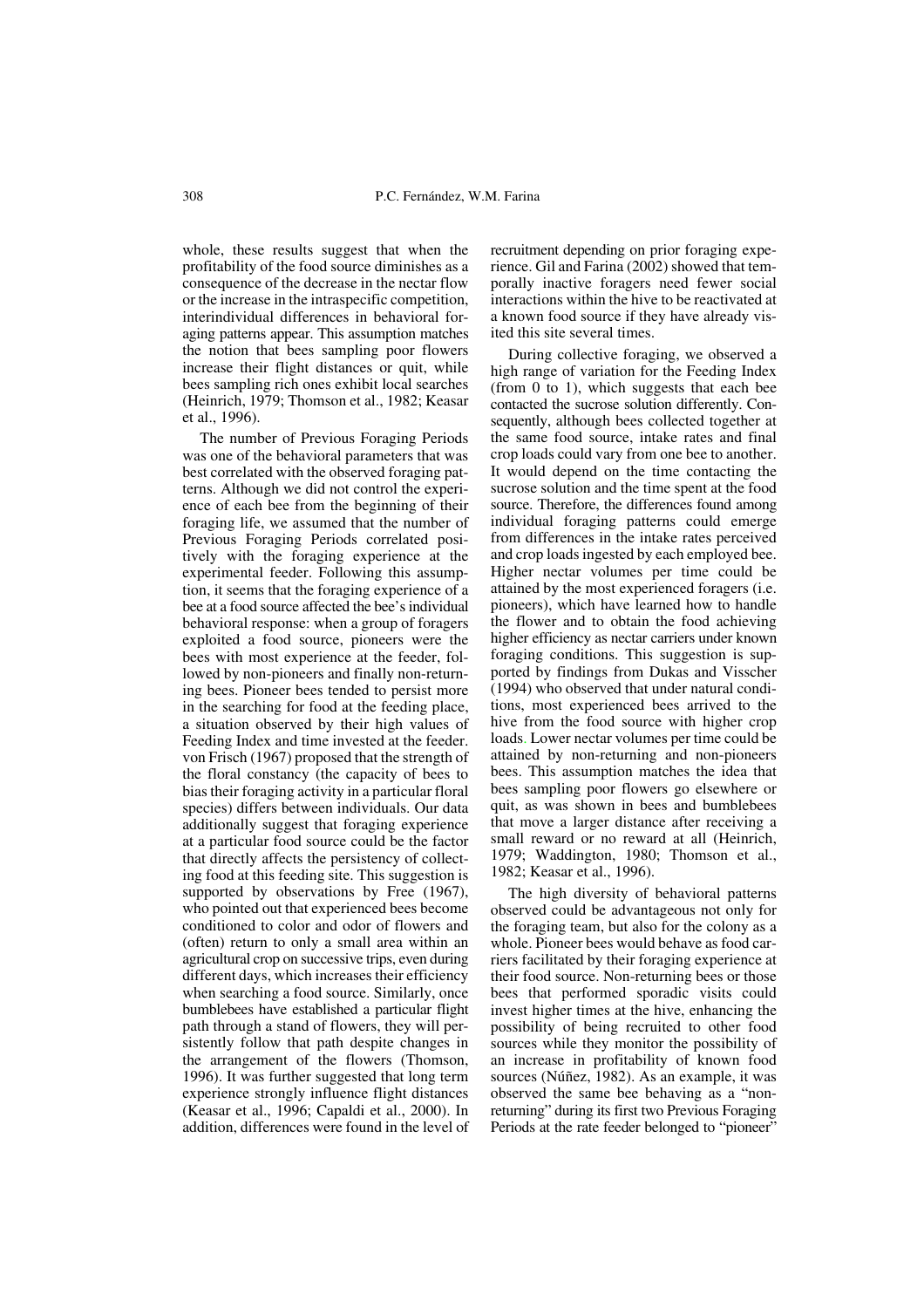whole, these results suggest that when the profitability of the food source diminishes as a consequence of the decrease in the nectar flow or the increase in the intraspecific competition, interindividual differences in behavioral foraging patterns appear. This assumption matches the notion that bees sampling poor flowers increase their flight distances or quit, while bees sampling rich ones exhibit local searches (Heinrich, 1979; Thomson et al., 1982; Keasar et al., 1996).

The number of Previous Foraging Periods was one of the behavioral parameters that was best correlated with the observed foraging patterns. Although we did not control the experience of each bee from the beginning of their foraging life, we assumed that the number of Previous Foraging Periods correlated positively with the foraging experience at the experimental feeder. Following this assumption, it seems that the foraging experience of a bee at a food source affected the bee's individual behavioral response: when a group of foragers exploited a food source, pioneers were the bees with most experience at the feeder, followed by non-pioneers and finally non-returning bees. Pioneer bees tended to persist more in the searching for food at the feeding place, a situation observed by their high values of Feeding Index and time invested at the feeder. von Frisch (1967) proposed that the strength of the floral constancy (the capacity of bees to bias their foraging activity in a particular floral species) differs between individuals. Our data additionally suggest that foraging experience at a particular food source could be the factor that directly affects the persistency of collecting food at this feeding site. This suggestion is supported by observations by Free (1967), who pointed out that experienced bees become conditioned to color and odor of flowers and (often) return to only a small area within an agricultural crop on successive trips, even during different days, which increases their efficiency when searching a food source. Similarly, once bumblebees have established a particular flight path through a stand of flowers, they will persistently follow that path despite changes in the arrangement of the flowers (Thomson, 1996). It was further suggested that long term experience strongly influence flight distances (Keasar et al., 1996; Capaldi et al., 2000). In addition, differences were found in the level of

recruitment depending on prior foraging experience. Gil and Farina (2002) showed that temporally inactive foragers need fewer social interactions within the hive to be reactivated at a known food source if they have already visited this site several times.

During collective foraging, we observed a high range of variation for the Feeding Index (from 0 to 1), which suggests that each bee contacted the sucrose solution differently. Consequently, although bees collected together at the same food source, intake rates and final crop loads could vary from one bee to another. It would depend on the time contacting the sucrose solution and the time spent at the food source. Therefore, the differences found among individual foraging patterns could emerge from differences in the intake rates perceived and crop loads ingested by each employed bee. Higher nectar volumes per time could be attained by the most experienced foragers (i.e. pioneers), which have learned how to handle the flower and to obtain the food achieving higher efficiency as nectar carriers under known foraging conditions. This suggestion is supported by findings from Dukas and Visscher (1994) who observed that under natural conditions, most experienced bees arrived to the hive from the food source with higher crop loads. Lower nectar volumes per time could be attained by non-returning and non-pioneers bees. This assumption matches the idea that bees sampling poor flowers go elsewhere or quit, as was shown in bees and bumblebees that move a larger distance after receiving a small reward or no reward at all (Heinrich, 1979; Waddington, 1980; Thomson et al., 1982; Keasar et al., 1996).

The high diversity of behavioral patterns observed could be advantageous not only for the foraging team, but also for the colony as a whole. Pioneer bees would behave as food carriers facilitated by their foraging experience at their food source. Non-returning bees or those bees that performed sporadic visits could invest higher times at the hive, enhancing the possibility of being recruited to other food sources while they monitor the possibility of an increase in profitability of known food sources (Núñez, 1982). As an example, it was observed the same bee behaving as a "nonreturning" during its first two Previous Foraging Periods at the rate feeder belonged to "pioneer"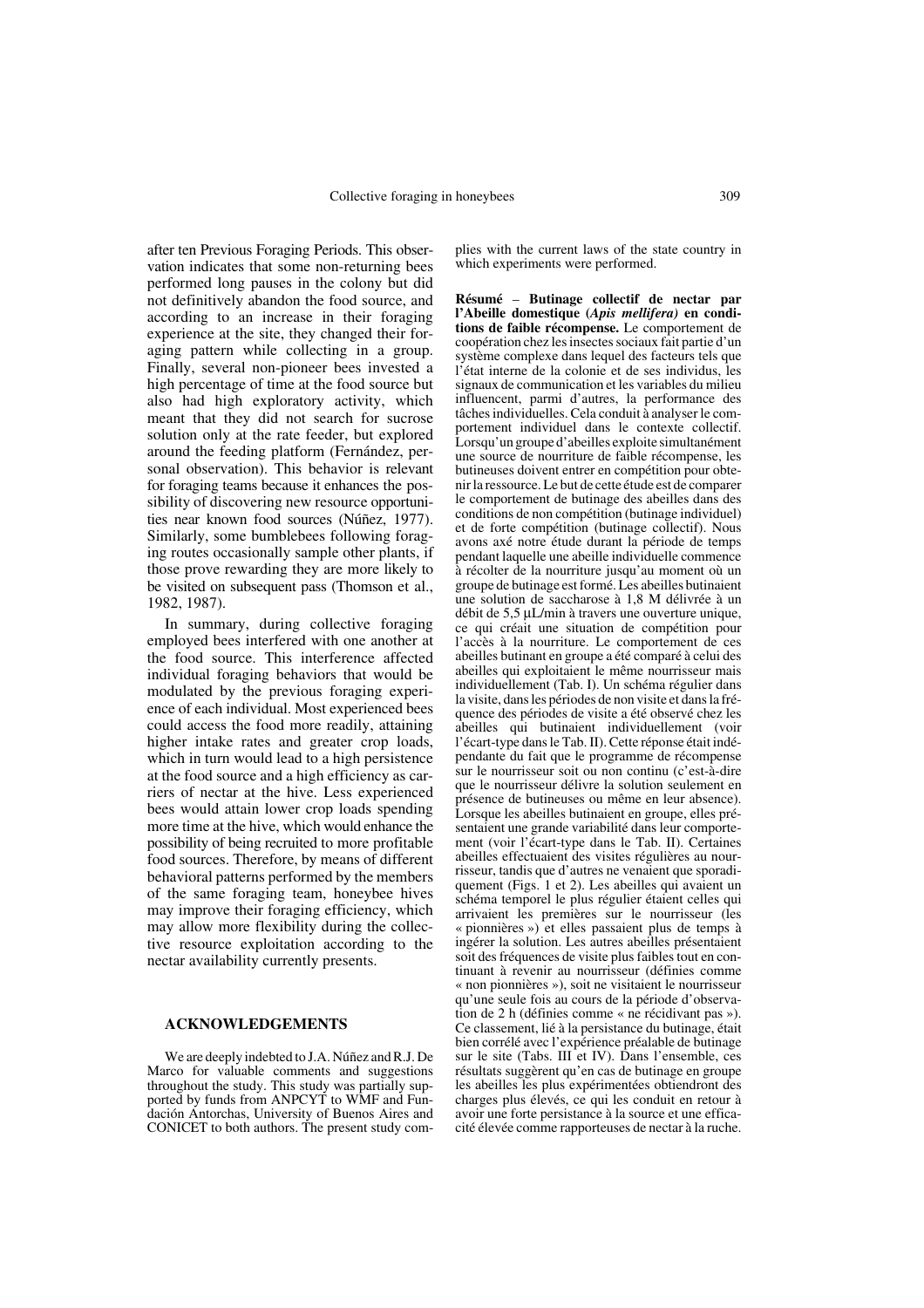after ten Previous Foraging Periods. This observation indicates that some non-returning bees performed long pauses in the colony but did not definitively abandon the food source, and according to an increase in their foraging experience at the site, they changed their foraging pattern while collecting in a group. Finally, several non-pioneer bees invested a high percentage of time at the food source but also had high exploratory activity, which meant that they did not search for sucrose solution only at the rate feeder, but explored around the feeding platform (Fernández, personal observation). This behavior is relevant for foraging teams because it enhances the possibility of discovering new resource opportunities near known food sources (Núñez, 1977). Similarly, some bumblebees following foraging routes occasionally sample other plants, if those prove rewarding they are more likely to be visited on subsequent pass (Thomson et al., 1982, 1987).

In summary, during collective foraging employed bees interfered with one another at the food source. This interference affected individual foraging behaviors that would be modulated by the previous foraging experience of each individual. Most experienced bees could access the food more readily, attaining higher intake rates and greater crop loads, which in turn would lead to a high persistence at the food source and a high efficiency as carriers of nectar at the hive. Less experienced bees would attain lower crop loads spending more time at the hive, which would enhance the possibility of being recruited to more profitable food sources. Therefore, by means of different behavioral patterns performed by the members of the same foraging team, honeybee hives may improve their foraging efficiency, which may allow more flexibility during the collective resource exploitation according to the nectar availability currently presents.

#### **ACKNOWLEDGEMENTS**

We are deeply indebted to J.A. Núñez and R.J. De Marco for valuable comments and suggestions throughout the study. This study was partially supported by funds from ANPCYT to WMF and Fundación Antorchas, University of Buenos Aires and CONICET to both authors. The present study complies with the current laws of the state country in which experiments were performed.

**Résumé** – **Butinage collectif de nectar par l'Abeille domestique (***Apis mellifera)* **en conditions de faible récompense.** Le comportement de coopération chez les insectes sociaux fait partie d'un système complexe dans lequel des facteurs tels que l'état interne de la colonie et de ses individus, les signaux de communication et les variables du milieu influencent, parmi d'autres, la performance des tâches individuelles. Cela conduit à analyser le comportement individuel dans le contexte collectif. Lorsqu'un groupe d'abeilles exploite simultanément une source de nourriture de faible récompense, les butineuses doivent entrer en compétition pour obtenir la ressource. Le but de cette étude est de comparer le comportement de butinage des abeilles dans des conditions de non compétition (butinage individuel) et de forte compétition (butinage collectif). Nous avons axé notre étude durant la période de temps pendant laquelle une abeille individuelle commence à récolter de la nourriture jusqu'au moment où un groupe de butinage est formé. Les abeilles butinaient une solution de saccharose à 1,8 M délivrée à un débit de 5,5 µL/min à travers une ouverture unique, ce qui créait une situation de compétition pour l'accès à la nourriture. Le comportement de ces abeilles butinant en groupe a été comparé à celui des abeilles qui exploitaient le même nourrisseur mais individuellement (Tab. I). Un schéma régulier dans la visite, dans les périodes de non visite et dans la fréquence des périodes de visite a été observé chez les abeilles qui butinaient individuellement (voir l'écart-type dans le Tab. II). Cette réponse était indépendante du fait que le programme de récompense sur le nourrisseur soit ou non continu (c'est-à-dire que le nourrisseur délivre la solution seulement en présence de butineuses ou même en leur absence). Lorsque les abeilles butinaient en groupe, elles présentaient une grande variabilité dans leur comportement (voir l'écart-type dans le Tab. II). Certaines abeilles effectuaient des visites régulières au nourrisseur, tandis que d'autres ne venaient que sporadiquement (Figs. 1 et 2). Les abeilles qui avaient un schéma temporel le plus régulier étaient celles qui arrivaient les premières sur le nourrisseur (les « pionnières ») et elles passaient plus de temps à ingérer la solution. Les autres abeilles présentaient soit des fréquences de visite plus faibles tout en continuant à revenir au nourrisseur (définies comme « non pionnières »), soit ne visitaient le nourrisseur qu'une seule fois au cours de la période d'observation de 2 h (définies comme « ne récidivant pas »). Ce classement, lié à la persistance du butinage, était bien corrélé avec l'expérience préalable de butinage sur le site (Tabs. III et IV). Dans l'ensemble, ces résultats suggèrent qu'en cas de butinage en groupe les abeilles les plus expérimentées obtiendront des charges plus élevés, ce qui les conduit en retour à avoir une forte persistance à la source et une efficacité élevée comme rapporteuses de nectar à la ruche.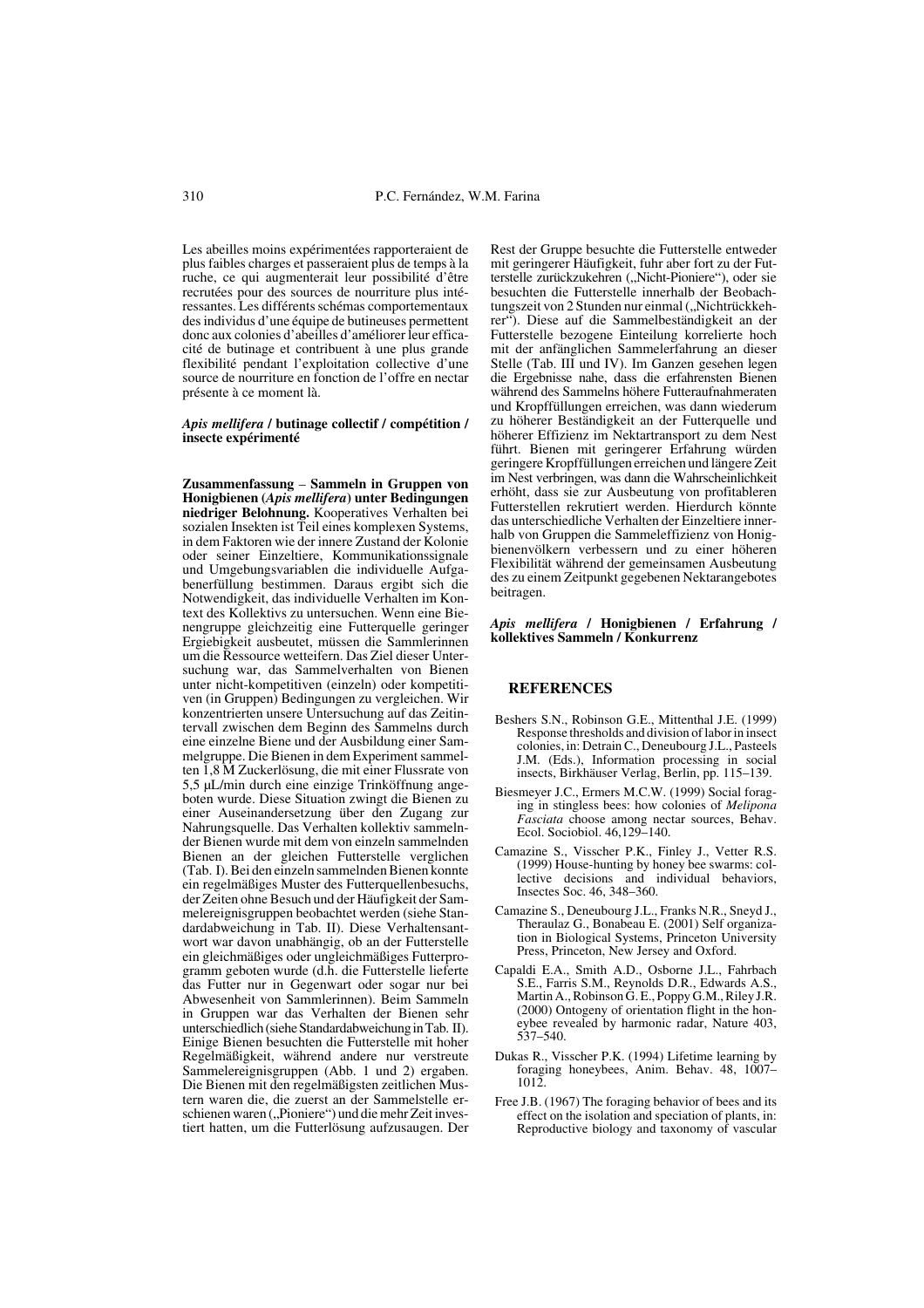Les abeilles moins expérimentées rapporteraient de plus faibles charges et passeraient plus de temps à la ruche, ce qui augmenterait leur possibilité d'être recrutées pour des sources de nourriture plus intéressantes. Les différents schémas comportementaux des individus d'une équipe de butineuses permettent donc aux colonies d'abeilles d'améliorer leur efficacité de butinage et contribuent à une plus grande flexibilité pendant l'exploitation collective d'une source de nourriture en fonction de l'offre en nectar présente à ce moment là.

#### *Apis mellifera* **/ butinage collectif / compétition / insecte expérimenté**

**Zusammenfassung** – **Sammeln in Gruppen von Honigbienen (***Apis mellifera***) unter Bedingungen niedriger Belohnung.** Kooperatives Verhalten bei sozialen Insekten ist Teil eines komplexen Systems, in dem Faktoren wie der innere Zustand der Kolonie oder seiner Einzeltiere, Kommunikationssignale und Umgebungsvariablen die individuelle Aufgabenerfüllung bestimmen. Daraus ergibt sich die Notwendigkeit, das individuelle Verhalten im Kontext des Kollektivs zu untersuchen. Wenn eine Bienengruppe gleichzeitig eine Futterquelle geringer Ergiebigkeit ausbeutet, müssen die Sammlerinnen um die Ressource wetteifern. Das Ziel dieser Untersuchung war, das Sammelverhalten von Bienen unter nicht-kompetitiven (einzeln) oder kompetitiven (in Gruppen) Bedingungen zu vergleichen. Wir konzentrierten unsere Untersuchung auf das Zeitintervall zwischen dem Beginn des Sammelns durch eine einzelne Biene und der Ausbildung einer Sammelgruppe. Die Bienen in dem Experiment sammelten 1,8 M Zuckerlösung, die mit einer Flussrate von 5,5 µL/min durch eine einzige Trinköffnung angeboten wurde. Diese Situation zwingt die Bienen zu einer Auseinandersetzung über den Zugang zur Nahrungsquelle. Das Verhalten kollektiv sammelnder Bienen wurde mit dem von einzeln sammelnden Bienen an der gleichen Futterstelle verglichen (Tab. I). Bei den einzeln sammelnden Bienen konnte ein regelmäßiges Muster des Futterquellenbesuchs, der Zeiten ohne Besuch und der Häufigkeit der Sammelereignisgruppen beobachtet werden (siehe Standardabweichung in Tab. II). Diese Verhaltensantwort war davon unabhängig, ob an der Futterstelle ein gleichmäßiges oder ungleichmäßiges Futterprogramm geboten wurde (d.h. die Futterstelle lieferte das Futter nur in Gegenwart oder sogar nur bei Abwesenheit von Sammlerinnen). Beim Sammeln in Gruppen war das Verhalten der Bienen sehr unterschiedlich (siehe Standardabweichung in Tab. II). Einige Bienen besuchten die Futterstelle mit hoher Regelmäßigkeit, während andere nur verstreute Sammelereignisgruppen (Abb. 1 und 2) ergaben. Die Bienen mit den regelmäßigsten zeitlichen Mustern waren die, die zuerst an der Sammelstelle erschienen waren ("Pioniere") und die mehr Zeit investiert hatten, um die Futterlösung aufzusaugen. Der Rest der Gruppe besuchte die Futterstelle entweder mit geringerer Häufigkeit, fuhr aber fort zu der Futterstelle zurückzukehren ("Nicht-Pioniere"), oder sie besuchten die Futterstelle innerhalb der Beobachtungszeit von 2 Stunden nur einmal ("Nichtrückkehrer"). Diese auf die Sammelbeständigkeit an der Futterstelle bezogene Einteilung korrelierte hoch mit der anfänglichen Sammelerfahrung an dieser Stelle (Tab. III und IV). Im Ganzen gesehen legen die Ergebnisse nahe, dass die erfahrensten Bienen während des Sammelns höhere Futteraufnahmeraten und Kropffüllungen erreichen, was dann wiederum zu höherer Beständigkeit an der Futterquelle und höherer Effizienz im Nektartransport zu dem Nest führt. Bienen mit geringerer Erfahrung würden geringere Kropffüllungen erreichen und längere Zeit im Nest verbringen, was dann die Wahrscheinlichkeit erhöht, dass sie zur Ausbeutung von profitableren Futterstellen rekrutiert werden. Hierdurch könnte das unterschiedliche Verhalten der Einzeltiere innerhalb von Gruppen die Sammeleffizienz von Honigbienenvölkern verbessern und zu einer höheren Flexibilität während der gemeinsamen Ausbeutung des zu einem Zeitpunkt gegebenen Nektarangebotes beitragen.

#### *Apis mellifera* **/ Honigbienen / Erfahrung / kollektives Sammeln / Konkurrenz**

#### **REFERENCES**

- Beshers S.N., Robinson G.E., Mittenthal J.E. (1999) Response thresholds and division of labor in insect colonies, in: Detrain C., Deneubourg J.L., Pasteels J.M. (Eds.), Information processing in social insects, Birkhäuser Verlag, Berlin, pp. 115–139.
- Biesmeyer J.C., Ermers M.C.W. (1999) Social foraging in stingless bees: how colonies of *Melipona Fasciata* choose among nectar sources, Behav. Ecol. Sociobiol. 46,129–140.
- Camazine S., Visscher P.K., Finley J., Vetter R.S. (1999) House-hunting by honey bee swarms: collective decisions and individual behaviors, Insectes Soc. 46, 348–360.
- Camazine S., Deneubourg J.L., Franks N.R., Sneyd J., Theraulaz G., Bonabeau E. (2001) Self organization in Biological Systems, Princeton University Press, Princeton, New Jersey and Oxford.
- Capaldi E.A., Smith A.D., Osborne J.L., Fahrbach S.E., Farris S.M., Reynolds D.R., Edwards A.S., Martin A., Robinson G. E., Poppy G.M., Riley J.R. (2000) Ontogeny of orientation flight in the honeybee revealed by harmonic radar, Nature 403, 537–540.
- Dukas R., Visscher P.K. (1994) Lifetime learning by foraging honeybees, Anim. Behav. 48, 1007– 1012.
- Free J.B. (1967) The foraging behavior of bees and its effect on the isolation and speciation of plants, in: Reproductive biology and taxonomy of vascular